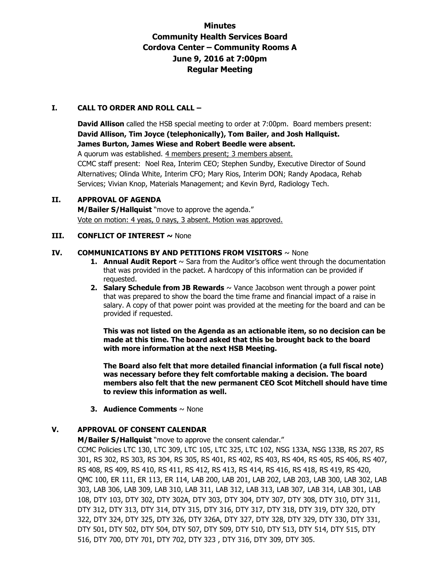## **Minutes Community Health Services Board Cordova Center – Community Rooms A June 9, 2016 at 7:00pm Regular Meeting**

#### **I. CALL TO ORDER AND ROLL CALL –**

**David Allison** called the HSB special meeting to order at 7:00pm. Board members present: **David Allison, Tim Joyce (telephonically), Tom Bailer, and Josh Hallquist. James Burton, James Wiese and Robert Beedle were absent.**  A quorum was established. 4 members present; 3 members absent. CCMC staff present: Noel Rea, Interim CEO; Stephen Sundby, Executive Director of Sound Alternatives; Olinda White, Interim CFO; Mary Rios, Interim DON; Randy Apodaca, Rehab

Services; Vivian Knop, Materials Management; and Kevin Byrd, Radiology Tech.

# **II. APPROVAL OF AGENDA**

**M/Bailer S/Hallquist** "move to approve the agenda." Vote on motion: 4 yeas, 0 nays, 3 absent. Motion was approved.

#### **III. CONFLICT OF INTEREST ~ None**

#### **IV. COMMUNICATIONS BY AND PETITIONS FROM VISITORS**  $\sim$  None

- **1. Annual Audit Report**  $\sim$  Sara from the Auditor's office went through the documentation that was provided in the packet. A hardcopy of this information can be provided if requested.
- **2. Salary Schedule from JB Rewards** ~ Vance Jacobson went through a power point that was prepared to show the board the time frame and financial impact of a raise in salary. A copy of that power point was provided at the meeting for the board and can be provided if requested.

**This was not listed on the Agenda as an actionable item, so no decision can be made at this time. The board asked that this be brought back to the board with more information at the next HSB Meeting.** 

**The Board also felt that more detailed financial information (a full fiscal note) was necessary before they felt comfortable making a decision. The board members also felt that the new permanent CEO Scot Mitchell should have time to review this information as well.** 

**3. Audience Comments** ~ None

## **V. APPROVAL OF CONSENT CALENDAR**

**M/Bailer S/Hallquist** "move to approve the consent calendar."

CCMC Policies LTC 130, LTC 309, LTC 105, LTC 325, LTC 102, NSG 133A, NSG 133B, RS 207, RS 301, RS 302, RS 303, RS 304, RS 305, RS 401, RS 402, RS 403, RS 404, RS 405, RS 406, RS 407, RS 408, RS 409, RS 410, RS 411, RS 412, RS 413, RS 414, RS 416, RS 418, RS 419, RS 420, QMC 100, ER 111, ER 113, ER 114, LAB 200, LAB 201, LAB 202, LAB 203, LAB 300, LAB 302, LAB 303, LAB 306, LAB 309, LAB 310, LAB 311, LAB 312, LAB 313, LAB 307, LAB 314, LAB 301, LAB 108, DTY 103, DTY 302, DTY 302A, DTY 303, DTY 304, DTY 307, DTY 308, DTY 310, DTY 311, DTY 312, DTY 313, DTY 314, DTY 315, DTY 316, DTY 317, DTY 318, DTY 319, DTY 320, DTY 322, DTY 324, DTY 325, DTY 326, DTY 326A, DTY 327, DTY 328, DTY 329, DTY 330, DTY 331, DTY 501, DTY 502, DTY 504, DTY 507, DTY 509, DTY 510, DTY 513, DTY 514, DTY 515, DTY 516, DTY 700, DTY 701, DTY 702, DTY 323 , DTY 316, DTY 309, DTY 305.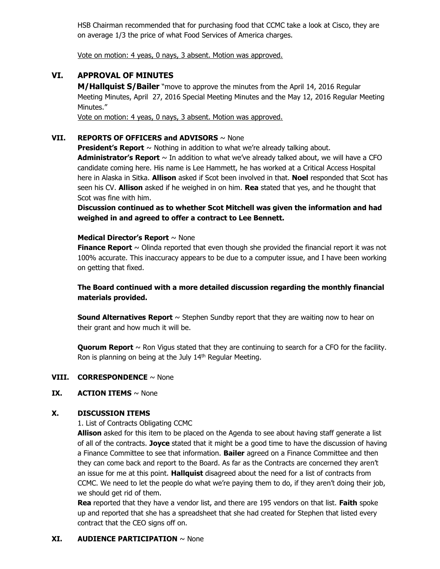HSB Chairman recommended that for purchasing food that CCMC take a look at Cisco, they are on average 1/3 the price of what Food Services of America charges.

Vote on motion: 4 yeas, 0 nays, 3 absent. Motion was approved.

## **VI. APPROVAL OF MINUTES**

**M/Hallquist S/Bailer** "move to approve the minutes from the April 14, 2016 Regular Meeting Minutes, April 27, 2016 Special Meeting Minutes and the May 12, 2016 Regular Meeting Minutes."

Vote on motion: 4 yeas, 0 nays, 3 absent. Motion was approved.

### **VII. REPORTS OF OFFICERS and ADVISORS** ~ None

**President's Report** ~ Nothing in addition to what we're already talking about. Administrator's Report  $\sim$  In addition to what we've already talked about, we will have a CFO candidate coming here. His name is Lee Hammett, he has worked at a Critical Access Hospital here in Alaska in Sitka. **Allison** asked if Scot been involved in that. **Noel** responded that Scot has seen his CV. **Allison** asked if he weighed in on him. **Rea** stated that yes, and he thought that Scot was fine with him.

**Discussion continued as to whether Scot Mitchell was given the information and had weighed in and agreed to offer a contract to Lee Bennett.** 

#### **Medical Director's Report** ~ None

**Finance Report**  $\sim$  Olinda reported that even though she provided the financial report it was not 100% accurate. This inaccuracy appears to be due to a computer issue, and I have been working on getting that fixed.

## **The Board continued with a more detailed discussion regarding the monthly financial materials provided.**

**Sound Alternatives Report**  $\sim$  Stephen Sundby report that they are waiting now to hear on their grant and how much it will be.

**Quorum Report**  $\sim$  Ron Vigus stated that they are continuing to search for a CFO for the facility. Ron is planning on being at the July 14<sup>th</sup> Regular Meeting.

#### **VIII. CORRESPONDENCE** ~ None

## **IX.** ACTION ITEMS ~ None

## **X. DISCUSSION ITEMS**

1. List of Contracts Obligating CCMC

**Allison** asked for this item to be placed on the Agenda to see about having staff generate a list of all of the contracts. **Joyce** stated that it might be a good time to have the discussion of having a Finance Committee to see that information. **Bailer** agreed on a Finance Committee and then they can come back and report to the Board. As far as the Contracts are concerned they aren't an issue for me at this point. **Hallquist** disagreed about the need for a list of contracts from CCMC. We need to let the people do what we're paying them to do, if they aren't doing their job, we should get rid of them.

**Rea** reported that they have a vendor list, and there are 195 vendors on that list. **Faith** spoke up and reported that she has a spreadsheet that she had created for Stephen that listed every contract that the CEO signs off on.

## **XI. AUDIENCE PARTICIPATION** ~ None